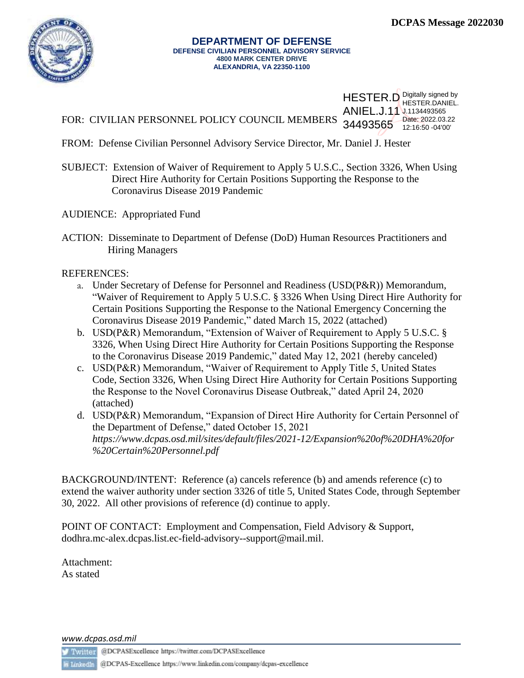

#### **DEPARTMENT OF DEFENSE DEFENSE CIVILIAN PERSONNEL ADVISORY SERVICE 4800 MARK CENTER DRIVE ALEXANDRIA, VA 22350-1100**

FOR: CIVILIAN PERSONNEL POLICY COUNCIL MEMBERS **HESTER.D** Digitally signed by ANIEL.J.11 J.1134493565 34493565 Date: 2022.03.22 HESTER.DANIEL. 12:16:50 -04'00'

FROM: Defense Civilian Personnel Advisory Service Director, Mr. Daniel J. Hester

- SUBJECT: Extension of Waiver of Requirement to Apply 5 U.S.C., Section 3326, When Using Direct Hire Authority for Certain Positions Supporting the Response to the Coronavirus Disease 2019 Pandemic
- AUDIENCE: Appropriated Fund
- ACTION: Disseminate to Department of Defense (DoD) Human Resources Practitioners and Hiring Managers

REFERENCES:

- a. Under Secretary of Defense for Personnel and Readiness (USD(P&R)) Memorandum, "Waiver of Requirement to Apply 5 U.S.C. § 3326 When Using Direct Hire Authority for Certain Positions Supporting the Response to the National Emergency Concerning the Coronavirus Disease 2019 Pandemic," dated March 15, 2022 (attached)
- b. USD(P&R) Memorandum, "Extension of Waiver of Requirement to Apply 5 U.S.C. § 3326, When Using Direct Hire Authority for Certain Positions Supporting the Response to the Coronavirus Disease 2019 Pandemic," dated May 12, 2021 (hereby canceled)
- c. USD(P&R) Memorandum, "Waiver of Requirement to Apply Title 5, United States Code, Section 3326, When Using Direct Hire Authority for Certain Positions Supporting the Response to the Novel Coronavirus Disease Outbreak," dated April 24, 2020 (attached)
- d. USD(P&R) Memorandum, "Expansion of Direct Hire Authority for Certain Personnel of the Department of Defense," dated October 15, 2021 *[https://www.dcpas.osd.mil/sites/default/files/2021-12/Expansion%20of%20DHA%20for](https://www.dcpas.osd.mil/sites/default/files/2021-12/Expansion%20of%20DHA%20for%20Certain%20Personnel.pdf) [%20Certain%20Personnel.pdf](https://www.dcpas.osd.mil/sites/default/files/2021-12/Expansion%20of%20DHA%20for%20Certain%20Personnel.pdf)*

BACKGROUND/INTENT: Reference (a) cancels reference (b) and amends reference (c) to extend the waiver authority under section 3326 of title 5, United States Code, through September 30, 2022. All other provisions of reference (d) continue to apply.

POINT OF CONTACT: Employment and Compensation, Field Advisory & Support, [dodhra.mc-alex.dcpas.list.ec-field-advisory--support@mail.mil.](mailto:dodhra.mc-alex.dcpas.list.ec-field-advisory--support@mail.mil)

Attachment: As stated

*www.dcpas.osd.mil*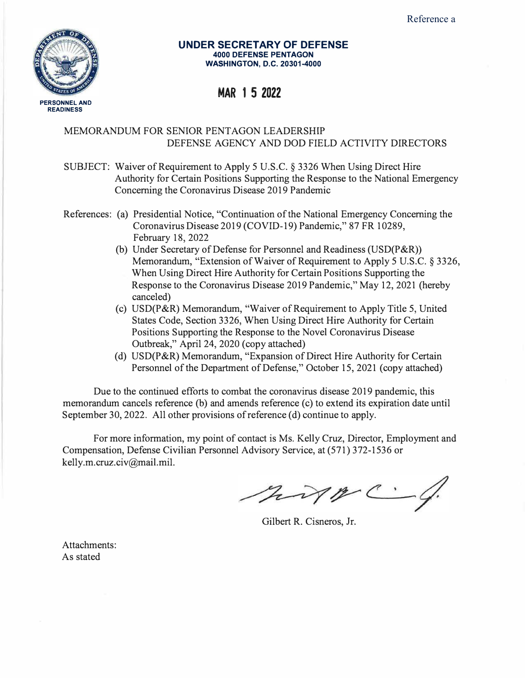

### **UNDER SECRETARY OF DEFENSE 4000 DEFENSE PENTAGON WASHINGTON, D.C. 20301-4000**

# **MAR 1 5 2022**

## MEMORANDUM FOR SENIOR PENTAGON LEADERSHIP DEFENSE AGENCY AND DOD FIELD ACTIVITY DIRECTORS

SUBJECT: Waiver of Requirement to Apply 5 U.S.C. § 3326 When Using Direct Hire Authority for Certain Positions Supporting the Response to the National Emergency Concerning the Coronavirus Disease 2019 Pandemic

- References: (a) Presidential Notice, "Continuation of the National Emergency Concerning the Coronavirus Disease 2019 (COVID-19) Pandemic," 87 FR 10289, February 18, 2022
	- (b) Under Secretary of Defense for Personnel and Readiness (USD(P&R)) Memorandum, "Extension of Waiver of Requirement to Apply 5 U.S.C. § 3326, When Using Direct Hire Authority for Certain Positions Supporting the Response to the Coronavirus Disease 2019 Pandemic," May 12, 2021 (hereby canceled)
	- (c) USD(P&R) Memorandum, "Waiver of Requirement to Apply Title 5, United States Code, Section 3326, When Using Direct Hire Authority for Certain Positions Supporting the Response to the Novel Coronavirus Disease Outbreak," April 24, 2020 (copy attached)
	- (d) USD(P&R) Memorandum, "Expansion of Direct Hire Authority for Certain Personnel of the Department of Defense," October 15, 2021 (copy attached)

Due to the continued efforts to combat the coronavirus disease 2019 pandemic, this memorandum cancels reference (b) and amends reference (c) to extend its expiration date until September 30, 2022. All other provisions of reference (d) continue to apply.

For more information, my point of contact is Ms. Kelly Cruz, Director, Employment and Compensation, Defense Civilian Personnel Advisory Service, at (571) 372-1536 or kelly.m.cruz.civ@mail.mil.

nomc.

Gilbert R. Cisneros, Jr.

Attachments: As stated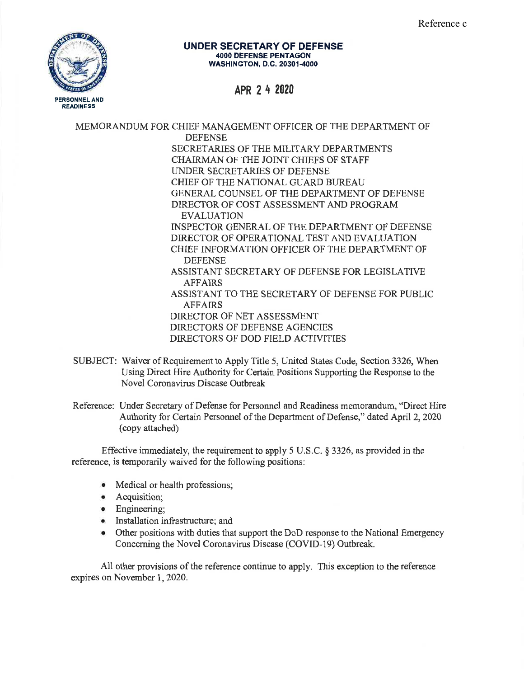Reference c



### UNDER SECRETARY OF DEFENSE **4000 DEFENSE PENTAGON WASHINGTON, D.C. 20301-4000**

APR 2 4 2020

MEMORANDUM FOR CHIEF MANAGEMENT OFFICER OF THE DEPARTMENT OF **DEFENSE** SECRETARIES OF THE MILITARY DEPARTMENTS CHAIRMAN OF THE JOINT CHIEFS OF STAFF UNDER SECRETARIES OF DEFENSE CHIEF OF THE NATIONAL GUARD BUREAU GENERAL COUNSEL OF THE DEPARTMENT OF DEFENSE DIRECTOR OF COST ASSESSMENT AND PROGRAM **EVALUATION** INSPECTOR GENERAL OF THE DEPARTMENT OF DEFENSE DIRECTOR OF OPERATIONAL TEST AND EVALUATION CHIEF INFORMATION OFFICER OF THE DEPARTMENT OF **DEFENSE** ASSISTANT SECRETARY OF DEFENSE FOR LEGISLATIVE **AFFAIRS** ASSISTANT TO THE SECRETARY OF DEFENSE FOR PUBLIC **AFFAIRS** DIRECTOR OF NET ASSESSMENT **DIRECTORS OF DEFENSE AGENCIES** DIRECTORS OF DOD FIELD ACTIVITIES

SUBJECT: Waiver of Requirement to Apply Title 5, United States Code, Section 3326, When Using Direct Hire Authority for Certain Positions Supporting the Response to the Novel Coronavirus Disease Outbreak

Reference: Under Secretary of Defense for Personnel and Readiness memorandum, "Direct Hire Authority for Certain Personnel of the Department of Defense," dated April 2, 2020 (copy attached)

Effective immediately, the requirement to apply 5 U.S.C.  $\S$  3326, as provided in the reference, is temporarily waived for the following positions:

- Medical or health professions;
- Acquisition:
- Engineering:
- Installation infrastructure; and
- Other positions with duties that support the DoD response to the National Emergency Concerning the Novel Coronavirus Disease (COVID-19) Outbreak.

All other provisions of the reference continue to apply. This exception to the reference expires on November 1, 2020.